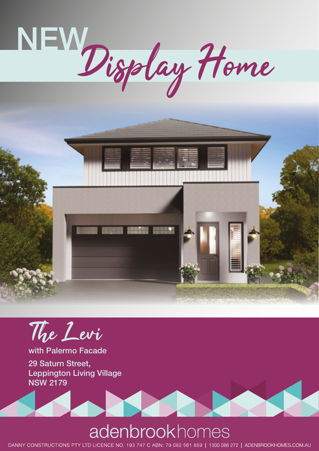



The Levi

with Palermo Facade

29 Saturn Street, Leppington Living Village NSW 2179

## adenbrookhomes

DANNY CONSTRUCTIONS PTY LTD LICENCE NO. 193 747 C ABN: 79 082 561 859 | 1300 086 272 | ADENBROOKHOMES.COM.AU